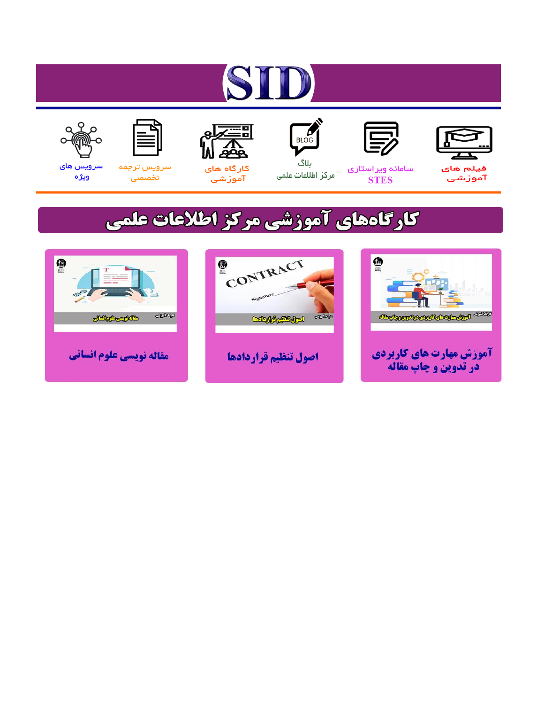# ST











مرکز اطلاعات علمی

 $\frac{1}{\sqrt{\frac{1}{100}}}$ ىلاگ



آموزشي

空

سرويس ترجمه تخصصى



سرویس های ويژه

## كارگاههای آموزشی مركز اطلاعات علمی





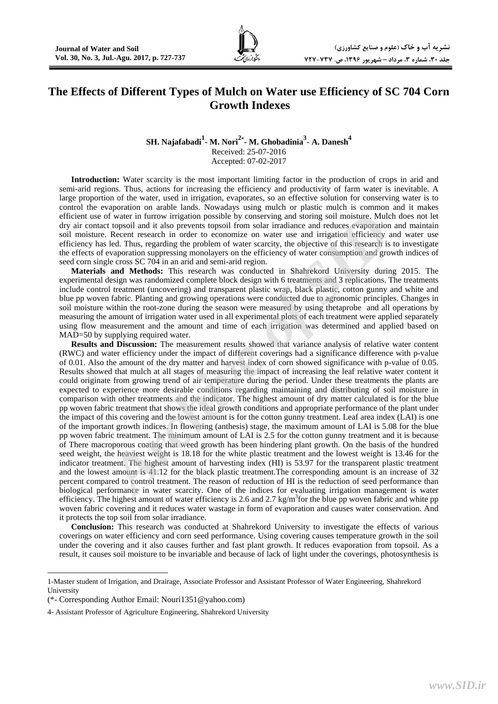### **The Effects of Different Types of Mulch on Water use Efficiency of SC 704 Corn Growth Indexes**

#### **SH. Najafabadi1 - M. Nori2\* - M. Ghobadinia3 - A. Danesh4** Received: 25-07-2016 Accepted: 07-02-2017

**Introduction:** Water scarcity is the most important limiting factor in the production of crops in arid and semi-arid regions. Thus, actions for increasing the efficiency and productivity of farm water is inevitable. A large proportion of the water, used in irrigation, evaporates, so an effective solution for conserving water is to control the evaporation on arable lands. Nowadays using mulch or plastic mulch is common and it makes efficient use of water in furrow irrigation possible by conserving and storing soil moisture. Mulch does not let dry air contact topsoil and it also prevents topsoil from solar irradiance and reduces evaporation and maintain soil moisture. Recent research in order to economize on water use and irrigation efficiency and water use efficiency has led. Thus, regarding the problem of water scarcity, the objective of this research is to investigate the effects of evaporation suppressing monolayers on the efficiency of water consumption and growth indices of seed corn single cross SC 704 in an arid and semi-arid region.

**Materials and Methods:** This research was conducted in Shahrekord University during 2015. The experimental design was randomized complete block design with 6 treatments and 3 replications. The treatments include control treatment (uncovering) and transparent plastic wrap, black plastic, cotton gunny and white and blue pp woven fabric. Planting and growing operations were conducted due to agronomic principles. Changes in soil moisture within the root-zone during the season were measured by using thetaprobe and all operations by measuring the amount of irrigation water used in all experimental plots of each treatment were applied separately using flow measurement and the amount and time of each irrigation was determined and applied based on MAD=50 by supplying required water.

**Results and Discussion:** The measurement results showed that variance analysis of relative water content (RWC) and water efficiency under the impact of different coverings had a significance difference with p-value of 0.01. Also the amount of the dry matter and harvest index of corn showed significance with p-value of 0.05. Results showed that mulch at all stages of measuring the impact of increasing the leaf relative water content it could originate from growing trend of air temperature during the period. Under these treatments the plants are expected to experience more desirable conditions regarding maintaining and distributing of soil moisture in comparison with other treatments and the indicator. The highest amount of dry matter calculated is for the blue pp woven fabric treatment that shows the ideal growth conditions and appropriate performance of the plant under the impact of this covering and the lowest amount is for the cotton gunny treatment. Leaf area index (LAI) is one of the important growth indices. In flowering (anthesis) stage, the maximum amount of LAI is 5.08 for the blue pp woven fabric treatment. The minimum amount of LAI is 2.5 for the cotton gunny treatment and it is because of There macroporous coating that weed growth has been hindering plant growth. On the basis of the hundred seed weight, the heaviest weight is 18.18 for the white plastic treatment and the lowest weight is 13.46 for the indicator treatment. The highest amount of harvesting index (HI) is 53.97 for the transparent plastic treatment and the lowest amount is 41.12 for the black plastic treatment.The corresponding amount is an increase of 32 percent compared to control treatment. The reason of reduction of HI is the reduction of seed performance than biological performance in water scarcity. One of the indices for evaluating irrigation management is water efficiency. The highest amount of water efficiency is 2.6 and 2.7 kg/m<sup>3</sup> for the blue pp woven fabric and white pp woven fabric covering and it reduces water wastage in form of evaporation and causes water conservation. And it protects the top soil from solar irradiance. of water in furrow irrigation possible by conserving and storing cordinal moisture. Mulch de tect in the possible in the secure is lead. Thus, regarding the problem and store exporation amove evaluation amove evaluation am

**Conclusion:** This research was conducted at Shahrekord University to investigate the effects of various coverings on water efficiency and corn seed performance. Using covering causes temperature growth in the soil under the covering and it also causes further and fast plant growth. It reduces evaporation from topsoil. As a result, it causes soil moisture to be invariable and because of lack of light under the coverings, photosynthesis is

 $\overline{\phantom{a}}$ 

<sup>1-</sup>Master student of Irrigation, and Drairage, Associate Professor and Assistant Professor of Water Engineering, Shahrekord University

<sup>(\*-</sup> Corresponding Author Email: Nouri1351@yahoo.com)

<sup>4-</sup> Assistant Professor of Agriculture Engineering, Shahrekord University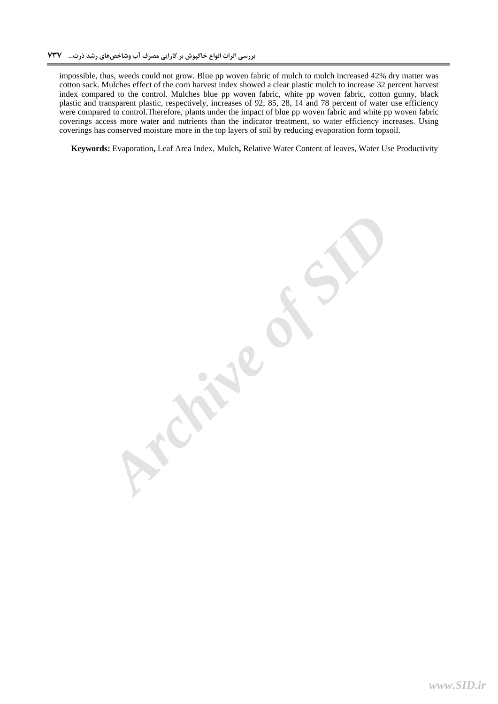impossible, thus, weeds could not grow. Blue pp woven fabric of mulch to mulch increased 42% dry matter was cotton sack. Mulches effect of the corn harvest index showed a clear plastic mulch to increase 32 percent harvest index compared to the control. Mulches blue pp woven fabric, white pp woven fabric, cotton gunny, black plastic and transparent plastic, respectively, increases of 92, 85, 28, 14 and 78 percent of water use efficiency were compared to control.Therefore, plants under the impact of blue pp woven fabric and white pp woven fabric coverings access more water and nutrients than the indicator treatment, so water efficiency increases. Using coverings has conserved moisture more in the top layers of soil by reducing evaporation form topsoil.

**Keywords:** Evaporation**,** Leaf Area Index, Mulch**,** Relative Water Content of leaves, Water Use Productivity

**Archive of SID**